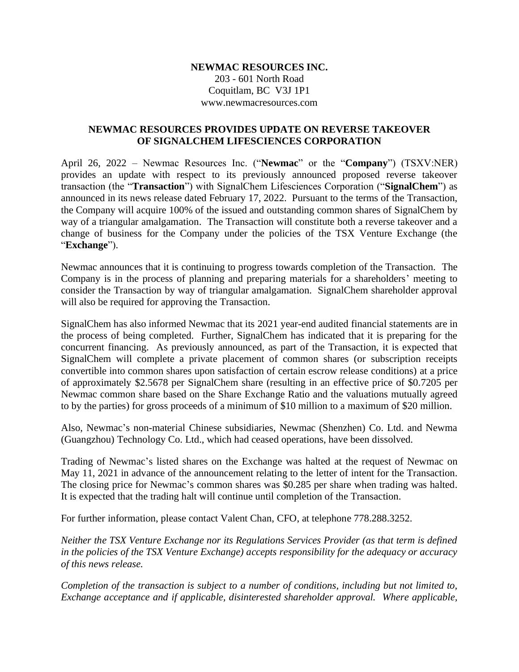## **NEWMAC RESOURCES INC.**

203 - 601 North Road Coquitlam, BC V3J 1P1 www.newmacresources.com

## **NEWMAC RESOURCES PROVIDES UPDATE ON REVERSE TAKEOVER OF SIGNALCHEM LIFESCIENCES CORPORATION**

April 26, 2022 – Newmac Resources Inc. ("**Newmac**" or the "**Company**") (TSXV:NER) provides an update with respect to its previously announced proposed reverse takeover transaction (the "**Transaction**") with SignalChem Lifesciences Corporation ("**SignalChem**") as announced in its news release dated February 17, 2022. Pursuant to the terms of the Transaction, the Company will acquire 100% of the issued and outstanding common shares of SignalChem by way of a triangular amalgamation. The Transaction will constitute both a reverse takeover and a change of business for the Company under the policies of the TSX Venture Exchange (the "**Exchange**").

Newmac announces that it is continuing to progress towards completion of the Transaction. The Company is in the process of planning and preparing materials for a shareholders' meeting to consider the Transaction by way of triangular amalgamation. SignalChem shareholder approval will also be required for approving the Transaction.

SignalChem has also informed Newmac that its 2021 year-end audited financial statements are in the process of being completed. Further, SignalChem has indicated that it is preparing for the concurrent financing. As previously announced, as part of the Transaction, it is expected that SignalChem will complete a private placement of common shares (or subscription receipts convertible into common shares upon satisfaction of certain escrow release conditions) at a price of approximately \$2.5678 per SignalChem share (resulting in an effective price of \$0.7205 per Newmac common share based on the Share Exchange Ratio and the valuations mutually agreed to by the parties) for gross proceeds of a minimum of \$10 million to a maximum of \$20 million.

Also, Newmac's non-material Chinese subsidiaries, Newmac (Shenzhen) Co. Ltd. and Newma (Guangzhou) Technology Co. Ltd., which had ceased operations, have been dissolved.

Trading of Newmac's listed shares on the Exchange was halted at the request of Newmac on May 11, 2021 in advance of the announcement relating to the letter of intent for the Transaction. The closing price for Newmac's common shares was \$0.285 per share when trading was halted. It is expected that the trading halt will continue until completion of the Transaction.

For further information, please contact Valent Chan, CFO, at telephone 778.288.3252.

*Neither the TSX Venture Exchange nor its Regulations Services Provider (as that term is defined in the policies of the TSX Venture Exchange) accepts responsibility for the adequacy or accuracy of this news release.*

*Completion of the transaction is subject to a number of conditions, including but not limited to, Exchange acceptance and if applicable, disinterested shareholder approval. Where applicable,*